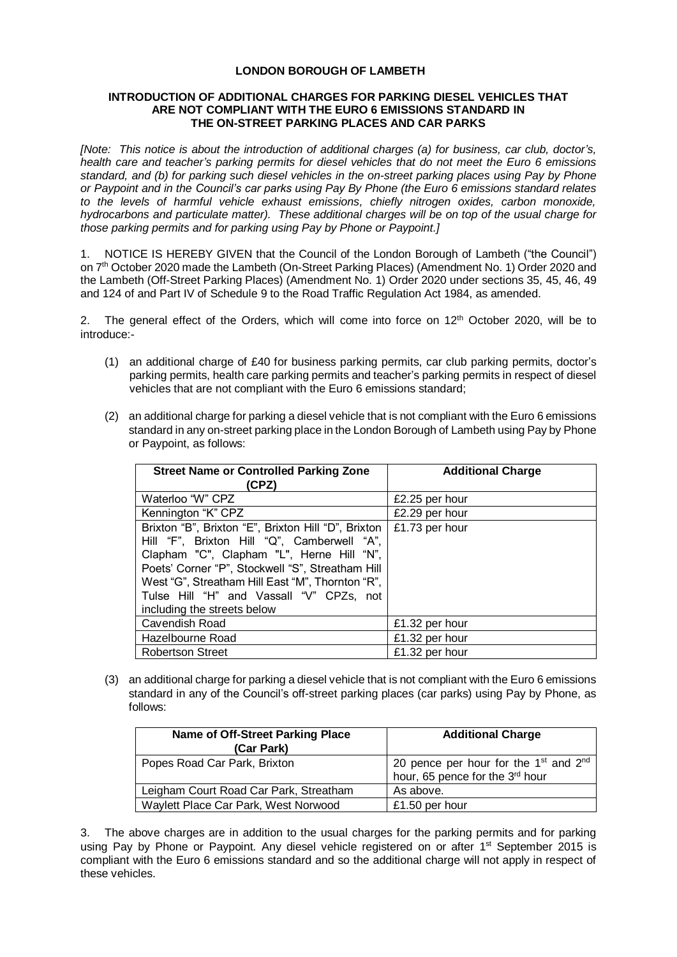## **LONDON BOROUGH OF LAMBETH**

## **INTRODUCTION OF ADDITIONAL CHARGES FOR PARKING DIESEL VEHICLES THAT ARE NOT COMPLIANT WITH THE EURO 6 EMISSIONS STANDARD IN THE ON-STREET PARKING PLACES AND CAR PARKS**

*[Note: This notice is about the introduction of additional charges (a) for business, car club, doctor's, health care and teacher's parking permits for diesel vehicles that do not meet the Euro 6 emissions standard, and (b) for parking such diesel vehicles in the on-street parking places using Pay by Phone or Paypoint and in the Council's car parks using Pay By Phone (the Euro 6 emissions standard relates to the levels of harmful vehicle exhaust emissions, chiefly nitrogen oxides, carbon monoxide, hydrocarbons and particulate matter). These additional charges will be on top of the usual charge for those parking permits and for parking using Pay by Phone or Paypoint.]*

1. NOTICE IS HEREBY GIVEN that the Council of the London Borough of Lambeth ("the Council") on 7th October 2020 made the Lambeth (On-Street Parking Places) (Amendment No. 1) Order 2020 and the Lambeth (Off-Street Parking Places) (Amendment No. 1) Order 2020 under sections 35, 45, 46, 49 and 124 of and Part IV of Schedule 9 to the Road Traffic Regulation Act 1984, as amended.

2. The general effect of the Orders, which will come into force on 12<sup>th</sup> October 2020, will be to introduce:-

- (1) an additional charge of £40 for business parking permits, car club parking permits, doctor's parking permits, health care parking permits and teacher's parking permits in respect of diesel vehicles that are not compliant with the Euro 6 emissions standard;
- (2) an additional charge for parking a diesel vehicle that is not compliant with the Euro 6 emissions standard in any on-street parking place in the London Borough of Lambeth using Pay by Phone or Paypoint, as follows:

| <b>Street Name or Controlled Parking Zone</b><br>(CPZ)                                                                                                                                                                                                                                                                               | <b>Additional Charge</b> |
|--------------------------------------------------------------------------------------------------------------------------------------------------------------------------------------------------------------------------------------------------------------------------------------------------------------------------------------|--------------------------|
| Waterloo "W" CPZ                                                                                                                                                                                                                                                                                                                     | £2.25 per hour           |
| Kennington "K" CPZ                                                                                                                                                                                                                                                                                                                   | £2.29 per hour           |
| Brixton "B", Brixton "E", Brixton Hill "D", Brixton  <br>Hill "F", Brixton Hill "Q", Camberwell "A",<br>Clapham "C", Clapham "L", Herne Hill "N",<br>Poets' Corner "P", Stockwell "S", Streatham Hill<br>West "G", Streatham Hill East "M", Thornton "R",<br>Tulse Hill "H" and Vassall "V" CPZs, not<br>including the streets below | £1.73 per hour           |
| Cavendish Road                                                                                                                                                                                                                                                                                                                       | £1.32 per hour           |
| Hazelbourne Road                                                                                                                                                                                                                                                                                                                     | £1.32 per hour           |
| <b>Robertson Street</b>                                                                                                                                                                                                                                                                                                              | £1.32 per hour           |

(3) an additional charge for parking a diesel vehicle that is not compliant with the Euro 6 emissions standard in any of the Council's off-street parking places (car parks) using Pay by Phone, as follows:

| Name of Off-Street Parking Place<br>(Car Park) | <b>Additional Charge</b>                                                                         |
|------------------------------------------------|--------------------------------------------------------------------------------------------------|
| Popes Road Car Park, Brixton                   | 20 pence per hour for the 1 <sup>st</sup> and 2 <sup>nd</sup><br>hour, 65 pence for the 3rd hour |
| Leigham Court Road Car Park, Streatham         | As above.                                                                                        |
| Waylett Place Car Park, West Norwood           | £1.50 per hour                                                                                   |

3. The above charges are in addition to the usual charges for the parking permits and for parking using Pay by Phone or Paypoint. Any diesel vehicle registered on or after 1<sup>st</sup> September 2015 is compliant with the Euro 6 emissions standard and so the additional charge will not apply in respect of these vehicles.